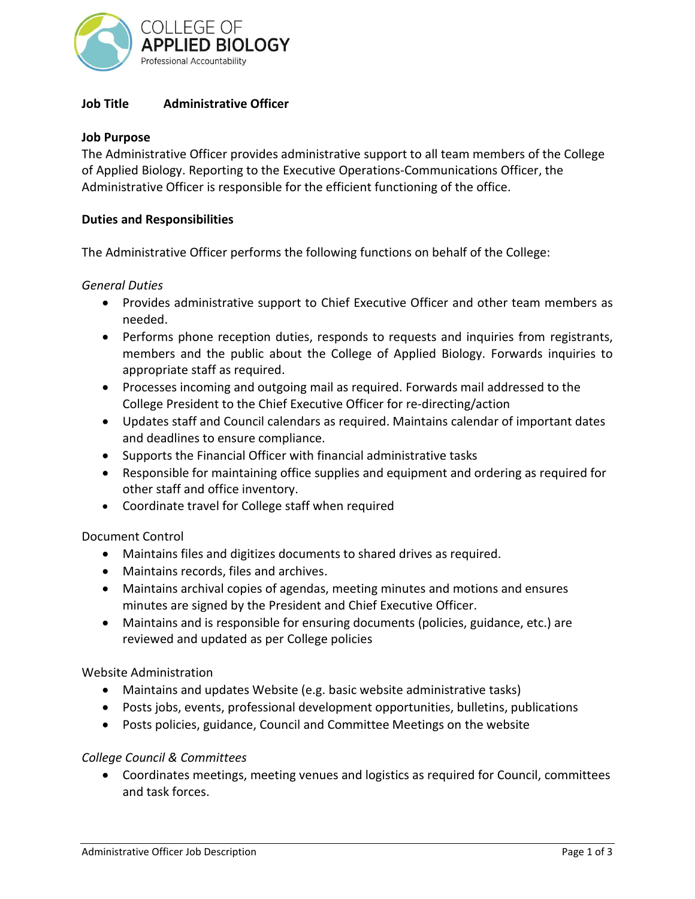

## **Job Title Administrative Officer**

### **Job Purpose**

The Administrative Officer provides administrative support to all team members of the College of Applied Biology. Reporting to the Executive Operations-Communications Officer, the Administrative Officer is responsible for the efficient functioning of the office.

### **Duties and Responsibilities**

The Administrative Officer performs the following functions on behalf of the College:

#### *General Duties*

- Provides administrative support to Chief Executive Officer and other team members as needed.
- Performs phone reception duties, responds to requests and inquiries from registrants, members and the public about the College of Applied Biology. Forwards inquiries to appropriate staff as required.
- Processes incoming and outgoing mail as required. Forwards mail addressed to the College President to the Chief Executive Officer for re-directing/action
- Updates staff and Council calendars as required. Maintains calendar of important dates and deadlines to ensure compliance.
- Supports the Financial Officer with financial administrative tasks
- Responsible for maintaining office supplies and equipment and ordering as required for other staff and office inventory.
- Coordinate travel for College staff when required

## Document Control

- Maintains files and digitizes documents to shared drives as required.
- Maintains records, files and archives.
- Maintains archival copies of agendas, meeting minutes and motions and ensures minutes are signed by the President and Chief Executive Officer.
- Maintains and is responsible for ensuring documents (policies, guidance, etc.) are reviewed and updated as per College policies

#### Website Administration

- Maintains and updates Website (e.g. basic website administrative tasks)
- Posts jobs, events, professional development opportunities, bulletins, publications
- Posts policies, guidance, Council and Committee Meetings on the website

#### *College Council & Committees*

• Coordinates meetings, meeting venues and logistics as required for Council, committees and task forces.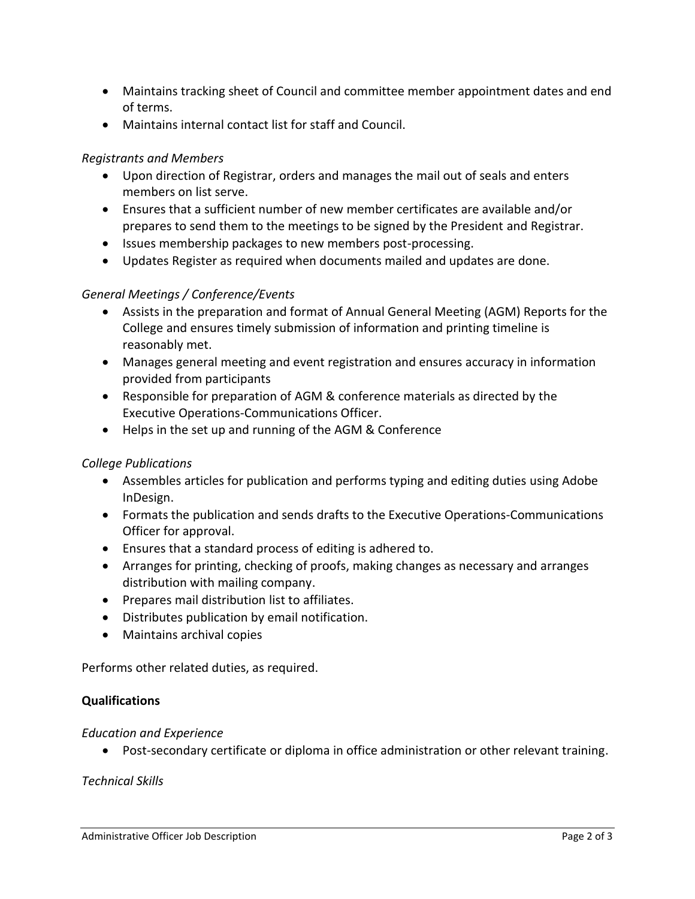- Maintains tracking sheet of Council and committee member appointment dates and end of terms.
- Maintains internal contact list for staff and Council.

## *Registrants and Members*

- Upon direction of Registrar, orders and manages the mail out of seals and enters members on list serve.
- Ensures that a sufficient number of new member certificates are available and/or prepares to send them to the meetings to be signed by the President and Registrar.
- Issues membership packages to new members post-processing.
- Updates Register as required when documents mailed and updates are done.

# *General Meetings / Conference/Events*

- Assists in the preparation and format of Annual General Meeting (AGM) Reports for the College and ensures timely submission of information and printing timeline is reasonably met.
- Manages general meeting and event registration and ensures accuracy in information provided from participants
- Responsible for preparation of AGM & conference materials as directed by the Executive Operations-Communications Officer.
- Helps in the set up and running of the AGM & Conference

# *College Publications*

- Assembles articles for publication and performs typing and editing duties using Adobe InDesign.
- Formats the publication and sends drafts to the Executive Operations-Communications Officer for approval.
- Ensures that a standard process of editing is adhered to.
- Arranges for printing, checking of proofs, making changes as necessary and arranges distribution with mailing company.
- Prepares mail distribution list to affiliates.
- Distributes publication by email notification.
- Maintains archival copies

Performs other related duties, as required.

## **Qualifications**

## *Education and Experience*

• Post-secondary certificate or diploma in office administration or other relevant training.

*Technical Skills*